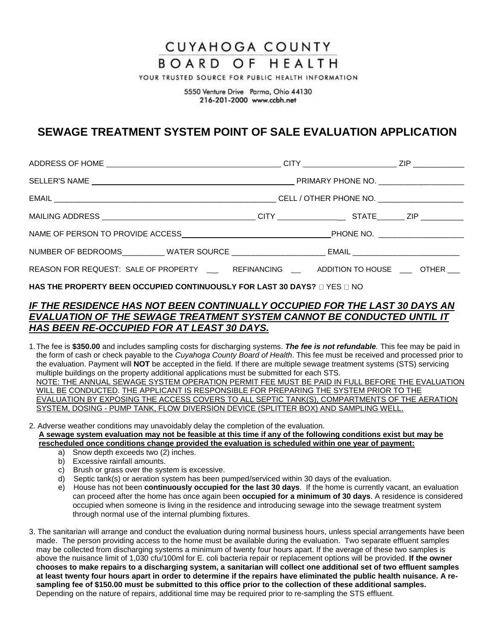# **CUYAHOGA COUNTY**

### BOARD OF HEALTH

YOUR TRUSTED SOURCE FOR PUBLIC HEALTH INFORMATION

5550 Venture Drive Parma, Ohio 44130 216-201-2000 www.ccbh.net

## **SEWAGE TREATMENT SYSTEM POINT OF SALE EVALUATION APPLICATION**

| NUMBER OF BEDROOMS___________WATER SOURCE _________________________EMAIL __________________________ |  |
|-----------------------------------------------------------------------------------------------------|--|
| REASON FOR REQUEST: SALE OF PROPERTY __ REFINANCING ADDITION TO HOUSE ___ OTHER ___                 |  |

#### **HAS THE PROPERTY BEEN OCCUPIED CONTINUOUSLY FOR LAST 30 DAYS?** O YES O NO

#### *IF THE RESIDENCE HAS NOT BEEN CONTINUALLY OCCUPIED FOR THE LAST 30 DAYS AN EVALUATION OF THE SEWAGE TREATMENT SYSTEM CANNOT BE CONDUCTED UNTIL IT HAS BEEN RE-OCCUPIED FOR AT LEAST 30 DAYS.*

- 1.The fee is **\$350.00** and includes sampling costs for discharging systems. *The fee is not refundable.* This fee may be paid in the form of cash or check payable to the *Cuyahoga County Board of Health*. This fee must be received and processed prior to the evaluation. Payment will **NOT** be accepted in the field. If there are multiple sewage treatment systems (STS) servicing multiple buildings on the property additional applications must be submitted for each STS. NOTE: THE ANNUAL SEWAGE SYSTEM OPERATION PERMIT FEE MUST BE PAID IN FULL BEFORE THE EVALUATION WILL BE CONDUCTED. THE APPLICANT IS RESPONSIBLE FOR PREPARING THE SYSTEM PRIOR TO THE EVALUATION BY EXPOSING THE ACCESS COVERS TO ALL SEPTIC TANK(S), COMPARTMENTS OF THE AERATION SYSTEM, DOSING - PUMP TANK, FLOW DIVERSION DEVICE (SPLITTER BOX) AND SAMPLING WELL.
- 2. Adverse weather conditions may unavoidably delay the completion of the evaluation. **A sewage system evaluation may not be feasible at this time if any of the following conditions exist but may be rescheduled once conditions change provided the evaluation is scheduled within one year of payment:**
	- a) Snow depth exceeds two (2) inches.
	- b) Excessive rainfall amounts.
	- c) Brush or grass over the system is excessive.
	- d) Septic tank(s) or aeration system has been pumped/serviced within 30 days of the evaluation.
	- e) House has not been **continuously occupied for the last 30 days**. If the home is currently vacant, an evaluation can proceed after the home has once again been **occupied for a minimum of 30 days**. A residence is considered occupied when someone is living in the residence and introducing sewage into the sewage treatment system through normal use of the internal plumbing fixtures.
- 3. The sanitarian will arrange and conduct the evaluation during normal business hours, unless special arrangements have been made.The person providing access to the home must be available during the evaluation. Two separate effluent samples may be collected from discharging systems a minimum of twenty four hours apart. If the average of these two samples is above the nuisance limit of 1,030 cfu/100ml for E. coli bacteria repair or replacement options will be provided. **If the owner chooses to make repairs to a discharging system, a sanitarian will collect one additional set of two effluent samples at least twenty four hours apart in order to determine if the repairs have eliminated the public health nuisance. A resampling fee of \$150.00 must be submitted to this office prior to the collection of these additional samples.**  Depending on the nature of repairs, additional time may be required prior to re-sampling the STS effluent.